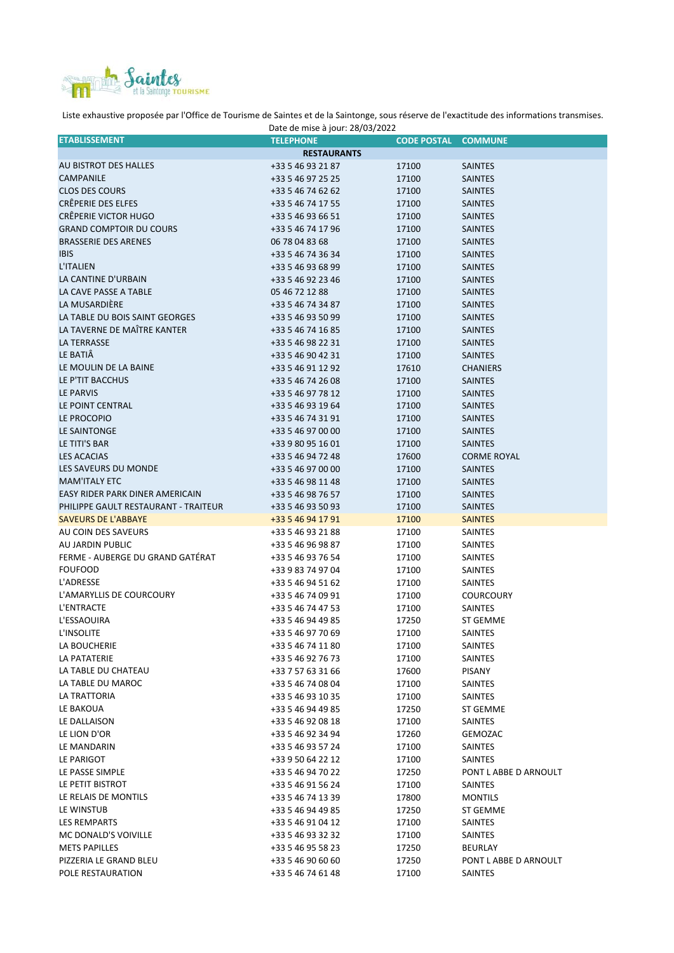

Liste exhaustive proposée par l'Office de Tourisme de Saintes et de la Saintonge, sous réserve de l'exactitude des informations transmises.

| Date de mise à jour: 28/03/2022      |                    |                    |                       |  |  |
|--------------------------------------|--------------------|--------------------|-----------------------|--|--|
| <b>ETABLISSEMENT</b>                 | <b>TELEPHONE</b>   | <b>CODE POSTAL</b> | <b>COMMUNE</b>        |  |  |
|                                      | <b>RESTAURANTS</b> |                    |                       |  |  |
| AU BISTROT DES HALLES                | +33 5 46 93 21 87  | 17100              | <b>SAINTES</b>        |  |  |
| CAMPANILE                            | +33 5 46 97 25 25  | 17100              | <b>SAINTES</b>        |  |  |
| <b>CLOS DES COURS</b>                | +33 5 46 74 62 62  | 17100              | <b>SAINTES</b>        |  |  |
| CRÊPERIE DES ELFES                   | +33 5 46 74 17 55  | 17100              | <b>SAINTES</b>        |  |  |
| CRÊPERIE VICTOR HUGO                 | +33 5 46 93 66 51  | 17100              | <b>SAINTES</b>        |  |  |
| <b>GRAND COMPTOIR DU COURS</b>       | +33 5 46 74 17 96  | 17100              | <b>SAINTES</b>        |  |  |
| <b>BRASSERIE DES ARENES</b>          | 06 78 04 83 68     | 17100              | <b>SAINTES</b>        |  |  |
| <b>IBIS</b>                          | +33 5 46 74 36 34  | 17100              | <b>SAINTES</b>        |  |  |
| L'ITALIEN                            | +33 5 46 93 68 99  | 17100              | <b>SAINTES</b>        |  |  |
| LA CANTINE D'URBAIN                  | +33 5 46 92 23 46  | 17100              | <b>SAINTES</b>        |  |  |
| LA CAVE PASSE A TABLE                | 05 46 72 12 88     | 17100              | <b>SAINTES</b>        |  |  |
| LA MUSARDIERE                        | +33 5 46 74 34 87  | 17100              | <b>SAINTES</b>        |  |  |
| LA TABLE DU BOIS SAINT GEORGES       | +33 5 46 93 50 99  | 17100              | <b>SAINTES</b>        |  |  |
| LA TAVERNE DE MAÎTRE KANTER          | +33 5 46 74 16 85  | 17100              | <b>SAINTES</b>        |  |  |
| <b>LA TERRASSE</b>                   | +33 5 46 98 22 31  | 17100              | <b>SAINTES</b>        |  |  |
| LE BATIA                             | +33 5 46 90 42 31  | 17100              | <b>SAINTES</b>        |  |  |
| LE MOULIN DE LA BAINE                | +33 5 46 91 12 92  | 17610              | <b>CHANIERS</b>       |  |  |
| LE P'TIT BACCHUS                     | +33 5 46 74 26 08  | 17100              | <b>SAINTES</b>        |  |  |
| LE PARVIS                            | +33 5 46 97 78 12  | 17100              | <b>SAINTES</b>        |  |  |
| LE POINT CENTRAL                     | +33 5 46 93 19 64  | 17100              | <b>SAINTES</b>        |  |  |
| LE PROCOPIO                          | +33 5 46 74 31 91  | 17100              | <b>SAINTES</b>        |  |  |
| LE SAINTONGE                         | +33 5 46 97 00 00  | 17100              | <b>SAINTES</b>        |  |  |
| LE TITI'S BAR                        | +33 9 80 95 16 01  | 17100              | <b>SAINTES</b>        |  |  |
| <b>LES ACACIAS</b>                   | +33 5 46 94 72 48  | 17600              | <b>CORME ROYAL</b>    |  |  |
| LES SAVEURS DU MONDE                 | +33 5 46 97 00 00  | 17100              | <b>SAINTES</b>        |  |  |
| <b>MAM'ITALY ETC</b>                 | +33 5 46 98 11 48  | 17100              | <b>SAINTES</b>        |  |  |
| EASY RIDER PARK DINER AMERICAIN      | +33 5 46 98 76 57  | 17100              | <b>SAINTES</b>        |  |  |
| PHILIPPE GAULT RESTAURANT - TRAITEUR | +33 5 46 93 50 93  | 17100              | <b>SAINTES</b>        |  |  |
| <b>SAVEURS DE L'ABBAYE</b>           | +33 5 46 94 17 91  | 17100              | <b>SAINTES</b>        |  |  |
| AU COIN DES SAVEURS                  | +33 5 46 93 21 88  | 17100              | <b>SAINTES</b>        |  |  |
| AU JARDIN PUBLIC                     | +33 5 46 96 98 87  | 17100              | <b>SAINTES</b>        |  |  |
| FERME - AUBERGE DU GRAND GATÉRAT     | +33 5 46 93 76 54  | 17100              | SAINTES               |  |  |
| <b>FOUFOOD</b>                       | +33 9 83 74 97 04  | 17100              | SAINTES               |  |  |
| L'ADRESSE                            | +33 5 46 94 51 62  | 17100              | <b>SAINTES</b>        |  |  |
| L'AMARYLLIS DE COURCOURY             | +33 5 46 74 09 91  | 17100              | <b>COURCOURY</b>      |  |  |
| L'ENTRACTE                           | +33 5 46 74 47 53  | 17100              | SAINTES               |  |  |
| L'ESSAOUIRA                          | +33 5 46 94 49 85  | 17250              | ST GEMME              |  |  |
| L'INSOLITE                           | +33 5 46 97 70 69  | 17100              | SAINTES               |  |  |
| LA BOUCHERIE                         | +33 5 46 74 11 80  | 17100              | SAINTES               |  |  |
| LA PATATERIE                         | +33 5 46 92 76 73  | 17100              | <b>SAINTES</b>        |  |  |
| LA TABLE DU CHATEAU                  | +33 7 57 63 31 66  | 17600              | PISANY                |  |  |
| LA TABLE DU MAROC                    | +33 5 46 74 08 04  | 17100              | SAINTES               |  |  |
| LA TRATTORIA                         | +33 5 46 93 10 35  | 17100              | SAINTES               |  |  |
| LE BAKOUA                            | +33 5 46 94 49 85  | 17250              | ST GEMME              |  |  |
| LE DALLAISON                         | +33 5 46 92 08 18  | 17100              | SAINTES               |  |  |
| LE LION D'OR                         | +33 5 46 92 34 94  | 17260              | GEMOZAC               |  |  |
| LE MANDARIN                          | +33 5 46 93 57 24  | 17100              | SAINTES               |  |  |
| LE PARIGOT                           | +33 9 50 64 22 12  | 17100              | <b>SAINTES</b>        |  |  |
| LE PASSE SIMPLE                      | +33 5 46 94 70 22  | 17250              | PONT L ABBE D ARNOULT |  |  |
| LE PETIT BISTROT                     | +33 5 46 91 56 24  | 17100              | SAINTES               |  |  |
| LE RELAIS DE MONTILS                 | +33 5 46 74 13 39  | 17800              | <b>MONTILS</b>        |  |  |
| LE WINSTUB                           | +33 5 46 94 49 85  | 17250              | ST GEMME              |  |  |
| LES REMPARTS                         | +33 5 46 91 04 12  | 17100              | SAINTES               |  |  |
| MC DONALD'S VOIVILLE                 | +33 5 46 93 32 32  | 17100              | SAINTES               |  |  |
| <b>METS PAPILLES</b>                 | +33 5 46 95 58 23  | 17250              | BEURLAY               |  |  |
| PIZZERIA LE GRAND BLEU               | +33 5 46 90 60 60  | 17250              | PONT L ABBE D ARNOULT |  |  |
| POLE RESTAURATION                    | +33 5 46 74 61 48  | 17100              | SAINTES               |  |  |